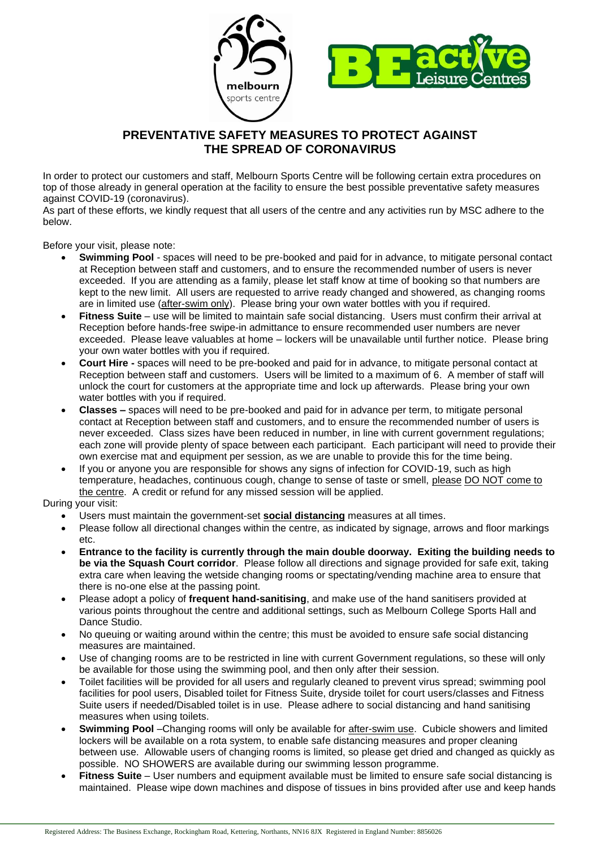

## **PREVENTATIVE SAFETY MEASURES TO PROTECT AGAINST THE SPREAD OF CORONAVIRUS**

In order to protect our customers and staff, Melbourn Sports Centre will be following certain extra procedures on top of those already in general operation at the facility to ensure the best possible preventative safety measures against COVID-19 (coronavirus).

As part of these efforts, we kindly request that all users of the centre and any activities run by MSC adhere to the below.

Before your visit, please note:

- **Swimming Pool** spaces will need to be pre-booked and paid for in advance, to mitigate personal contact at Reception between staff and customers, and to ensure the recommended number of users is never exceeded. If you are attending as a family, please let staff know at time of booking so that numbers are kept to the new limit. All users are requested to arrive ready changed and showered, as changing rooms are in limited use (after-swim only). Please bring your own water bottles with you if required.
- **Fitness Suite** use will be limited to maintain safe social distancing. Users must confirm their arrival at Reception before hands-free swipe-in admittance to ensure recommended user numbers are never exceeded. Please leave valuables at home – lockers will be unavailable until further notice. Please bring your own water bottles with you if required.
- **Court Hire -** spaces will need to be pre-booked and paid for in advance, to mitigate personal contact at Reception between staff and customers. Users will be limited to a maximum of 6. A member of staff will unlock the court for customers at the appropriate time and lock up afterwards. Please bring your own water bottles with you if required.
- **Classes –** spaces will need to be pre-booked and paid for in advance per term, to mitigate personal contact at Reception between staff and customers, and to ensure the recommended number of users is never exceeded. Class sizes have been reduced in number, in line with current government regulations; each zone will provide plenty of space between each participant. Each participant will need to provide their own exercise mat and equipment per session, as we are unable to provide this for the time being.
- If you or anyone you are responsible for shows any signs of infection for COVID-19, such as high temperature, headaches, continuous cough, change to sense of taste or smell, please DO NOT come to the centre. A credit or refund for any missed session will be applied.

During your visit:

- Users must maintain the government-set **social distancing** measures at all times.
- Please follow all directional changes within the centre, as indicated by signage, arrows and floor markings etc.
- **Entrance to the facility is currently through the main double doorway. Exiting the building needs to be via the Squash Court corridor**. Please follow all directions and signage provided for safe exit, taking extra care when leaving the wetside changing rooms or spectating/vending machine area to ensure that there is no-one else at the passing point.
- Please adopt a policy of **frequent hand-sanitising**, and make use of the hand sanitisers provided at various points throughout the centre and additional settings, such as Melbourn College Sports Hall and Dance Studio.
- No queuing or waiting around within the centre; this must be avoided to ensure safe social distancing measures are maintained.
- Use of changing rooms are to be restricted in line with current Government regulations, so these will only be available for those using the swimming pool, and then only after their session.
- Toilet facilities will be provided for all users and regularly cleaned to prevent virus spread; swimming pool facilities for pool users, Disabled toilet for Fitness Suite, dryside toilet for court users/classes and Fitness Suite users if needed/Disabled toilet is in use. Please adhere to social distancing and hand sanitising measures when using toilets.
- **Swimming Pool** –Changing rooms will only be available for after-swim use. Cubicle showers and limited lockers will be available on a rota system, to enable safe distancing measures and proper cleaning between use. Allowable users of changing rooms is limited, so please get dried and changed as quickly as possible. NO SHOWERS are available during our swimming lesson programme.
- **Fitness Suite** User numbers and equipment available must be limited to ensure safe social distancing is maintained. Please wipe down machines and dispose of tissues in bins provided after use and keep hands